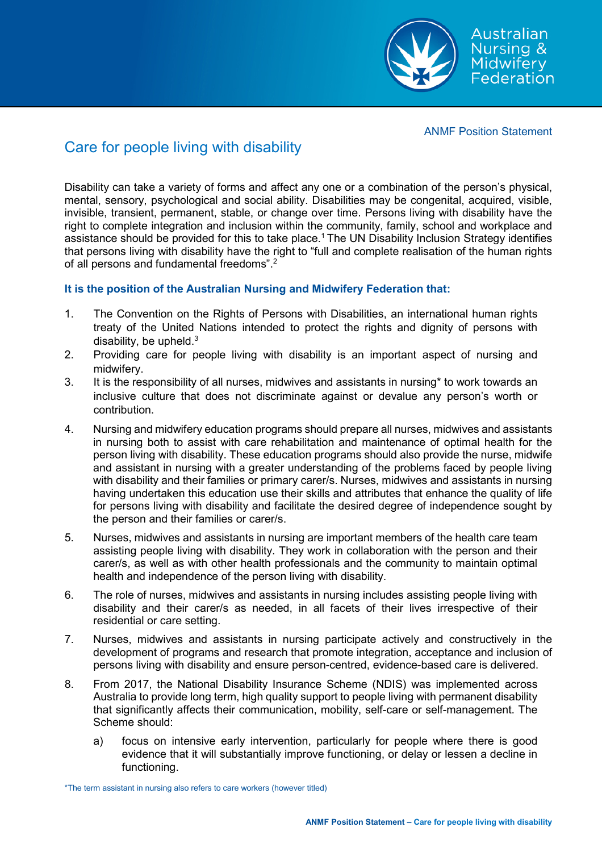Australian Nursing & Midwifery Federation

ANMF Position Statement

## Care for people living with disability

Disability can take a variety of forms and affect any one or a combination of the person's physical, mental, sensory, psychological and social ability. Disabilities may be congenital, acquired, visible, invisible, transient, permanent, stable, or change over time. Persons living with disability have the right to complete integration and inclusion within the community, family, school and workplace and assistance should be provided for this to take place.<sup>1</sup> The UN Disability Inclusion Strategy identifies that persons living with disability have the right to "full and complete realisation of the human rights of all persons and fundamental freedoms".<sup>2</sup>

## **It is the position of the Australian Nursing and Midwifery Federation that:**

- 1. The Convention on the Rights of Persons with Disabilities, an international human rights treaty of the United Nations intended to protect the rights and dignity of persons with disability, be upheld. $3$
- 2. Providing care for people living with disability is an important aspect of nursing and midwifery.
- 3. It is the responsibility of all nurses, midwives and assistants in nursing\* to work towards an inclusive culture that does not discriminate against or devalue any person's worth or contribution.
- 4. Nursing and midwifery education programs should prepare all nurses, midwives and assistants in nursing both to assist with care rehabilitation and maintenance of optimal health for the person living with disability. These education programs should also provide the nurse, midwife and assistant in nursing with a greater understanding of the problems faced by people living with disability and their families or primary carer/s. Nurses, midwives and assistants in nursing having undertaken this education use their skills and attributes that enhance the quality of life for persons living with disability and facilitate the desired degree of independence sought by the person and their families or carer/s.
- 5. Nurses, midwives and assistants in nursing are important members of the health care team assisting people living with disability. They work in collaboration with the person and their carer/s, as well as with other health professionals and the community to maintain optimal health and independence of the person living with disability.
- 6. The role of nurses, midwives and assistants in nursing includes assisting people living with disability and their carer/s as needed, in all facets of their lives irrespective of their residential or care setting.
- 7. Nurses, midwives and assistants in nursing participate actively and constructively in the development of programs and research that promote integration, acceptance and inclusion of persons living with disability and ensure person-centred, evidence-based care is delivered.
- 8. From 2017, the National Disability Insurance Scheme (NDIS) was implemented across Australia to provide long term, high quality support to people living with permanent disability that significantly affects their communication, mobility, self-care or self-management. The Scheme should:
	- a) focus on intensive early intervention, particularly for people where there is good evidence that it will substantially improve functioning, or delay or lessen a decline in functioning.

\*The term assistant in nursing also refers to care workers (however titled)